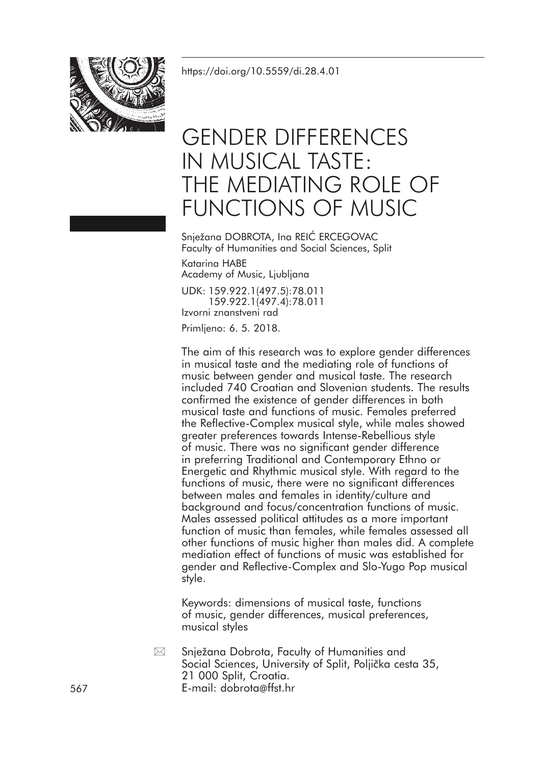<https://doi.org/10.5559/di.28.4.01>



# GENDER DIFFERENCES IN MUSICAL TASTE: THE MEDIATING ROLE OF FUNCTIONS OF MUSIC

Snježana DOBROTA, Ina REIĆ ERCEGOVAC Faculty of Humanities and Social Sciences, Split

Katarina HABE Academy of Music, Ljubljana UDK: 159.922.1(497.5):78.011

159.922.1(497.4):78.011 Izvorni znanstveni rad Primljeno: 6. 5. 2018.

The aim of this research was to explore gender differences in musical taste and the mediating role of functions of music between gender and musical taste. The research included 740 Croatian and Slovenian students. The results confirmed the existence of gender differences in both musical taste and functions of music. Females preferred the Reflective-Complex musical style, while males showed greater preferences towards Intense-Rebellious style of music. There was no significant gender difference in preferring Traditional and Contemporary Ethno or Energetic and Rhythmic musical style. With regard to the functions of music, there were no significant differences between males and females in identity/culture and background and focus/concentration functions of music. Males assessed political attitudes as a more important function of music than females, while females assessed all other functions of music higher than males did. A complete mediation effect of functions of music was established for gender and Reflective-Complex and Slo-Yugo Pop musical style.

Keywords: dimensions of musical taste, functions of music, gender differences, musical preferences, musical styles

Snježana Dobrota, Faculty of Humanities and Social Sciences, University of Split, Poljička cesta 35, 21 000 Split, Croatia. 567 E-mail: dobrota@ffst.hr  $\boxtimes$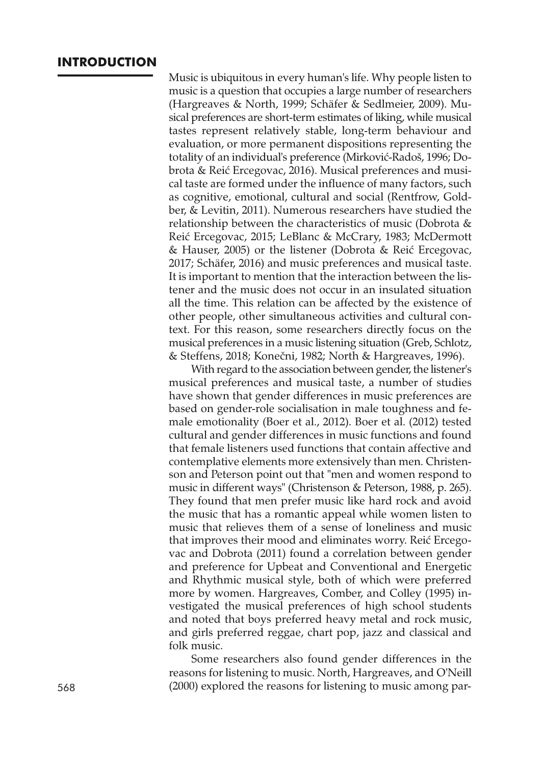#### **INTRODUCTION**

Music is ubiquitous in every human's life. Why people listen to music is a question that occupies a large number of researchers (Hargreaves & North, 1999; Schäfer & Sedlmeier, 2009). Musical preferences are short-term estimates of liking, while musical tastes represent relatively stable, long-term behaviour and evaluation, or more permanent dispositions representing the totality of an individual's preference (Mirković-Radoš, 1996; Dobrota & Reić Ercegovac, 2016). Musical preferences and musical taste are formed under the influence of many factors, such as cognitive, emotional, cultural and social (Rentfrow, Goldber, & Levitin, 2011). Numerous researchers have studied the relationship between the characteristics of music (Dobrota & Reić Ercegovac, 2015; LeBlanc & McCrary, 1983; McDermott & Hauser, 2005) or the listener (Dobrota & Reić Ercegovac, 2017; Schäfer, 2016) and music preferences and musical taste. It is important to mention that the interaction between the listener and the music does not occur in an insulated situation all the time. This relation can be affected by the existence of other people, other simultaneous activities and cultural context. For this reason, some researchers directly focus on the musical preferences in a music listening situation (Greb, Schlotz, & Steffens, 2018; Konečni, 1982; North & Hargreaves, 1996).

With regard to the association between gender, the listener's musical preferences and musical taste, a number of studies have shown that gender differences in music preferences are based on gender-role socialisation in male toughness and female emotionality (Boer et al., 2012). Boer et al. (2012) tested cultural and gender differences in music functions and found that female listeners used functions that contain affective and contemplative elements more extensively than men. Christenson and Peterson point out that "men and women respond to music in different ways" (Christenson & Peterson, 1988, p. 265). They found that men prefer music like hard rock and avoid the music that has a romantic appeal while women listen to music that relieves them of a sense of loneliness and music that improves their mood and eliminates worry. Reić Ercegovac and Dobrota (2011) found a correlation between gender and preference for Upbeat and Conventional and Energetic and Rhythmic musical style, both of which were preferred more by women. Hargreaves, Comber, and Colley (1995) investigated the musical preferences of high school students and noted that boys preferred heavy metal and rock music, and girls preferred reggae, chart pop, jazz and classical and folk music.

Some researchers also found gender differences in the reasons for listening to music. North, Hargreaves, and O'Neill 568 (2000) explored the reasons for listening to music among par-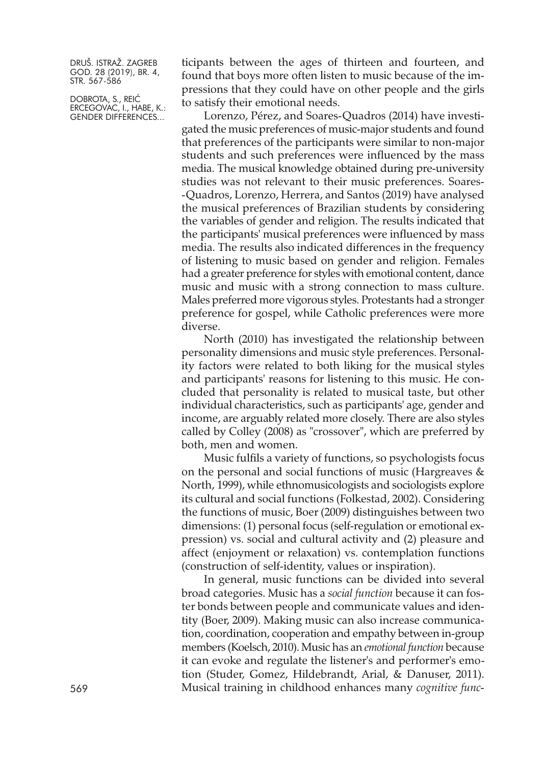DOBROTA, S., REIĆ ERCEGOVAC, I., HABE, K.: GENDER DIFFERENCES...

ticipants between the ages of thirteen and fourteen, and found that boys more often listen to music because of the impressions that they could have on other people and the girls to satisfy their emotional needs.

Lorenzo, Pérez, and Soares-Quadros (2014) have investigated the music preferences of music-major students and found that preferences of the participants were similar to non-major students and such preferences were influenced by the mass media. The musical knowledge obtained during pre-university studies was not relevant to their music preferences. Soares- -Quadros, Lorenzo, Herrera, and Santos (2019) have analysed the musical preferences of Brazilian students by considering the variables of gender and religion. The results indicated that the participants' musical preferences were influenced by mass media. The results also indicated differences in the frequency of listening to music based on gender and religion. Females had a greater preference for styles with emotional content, dance music and music with a strong connection to mass culture. Males preferred more vigorous styles. Protestants had a stronger preference for gospel, while Catholic preferences were more diverse.

North (2010) has investigated the relationship between personality dimensions and music style preferences. Personality factors were related to both liking for the musical styles and participants' reasons for listening to this music. He concluded that personality is related to musical taste, but other individual characteristics, such as participants' age, gender and income, are arguably related more closely. There are also styles called by Colley (2008) as "crossover", which are preferred by both, men and women.

Music fulfils a variety of functions, so psychologists focus on the personal and social functions of music (Hargreaves  $\&$ North, 1999), while ethnomusicologists and sociologists explore its cultural and social functions (Folkestad, 2002). Considering the functions of music, Boer (2009) distinguishes between two dimensions: (1) personal focus (self-regulation or emotional expression) vs. social and cultural activity and (2) pleasure and affect (enjoyment or relaxation) vs. contemplation functions (construction of self-identity, values or inspiration).

In general, music functions can be divided into several broad categories. Music has a *social function* because it can foster bonds between people and communicate values and identity (Boer, 2009). Making music can also increase communication, coordination, cooperation and empathy between in-group members (Koelsch, 2010). Music has an *emotional function* because it can evoke and regulate the listener's and performer's emotion (Studer, Gomez, Hildebrandt, Arial, & Danuser, 2011). 569 Musical training in childhood enhances many *cognitive func-*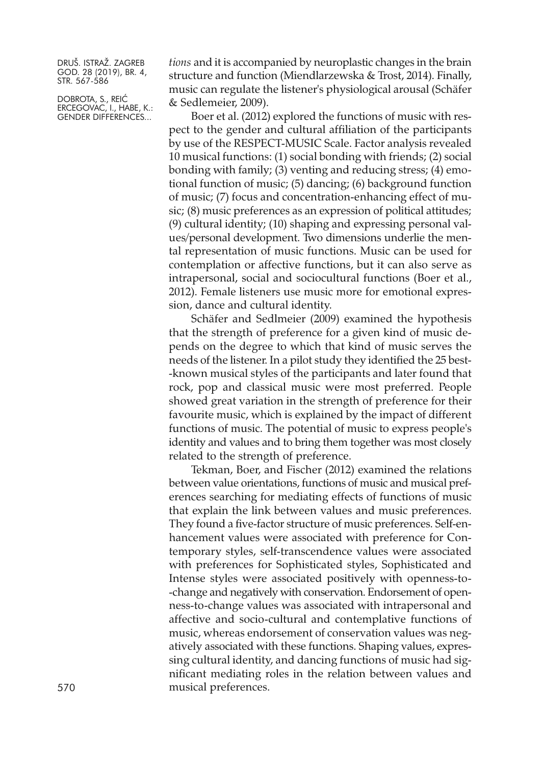DOBROTA, S., REIĆ ERCEGOVAC, I., HABE, K.: GENDER DIFFERENCES...

*tions* and it is accompanied by neuroplastic changes in the brain structure and function (Miendlarzewska & Trost, 2014). Finally, music can regulate the listener's physiological arousal (Schäfer & Sedlemeier, 2009).

Boer et al. (2012) explored the functions of music with respect to the gender and cultural affiliation of the participants by use of the RESPECT-MUSIC Scale. Factor analysis revealed 10 musical functions: (1) social bonding with friends; (2) social bonding with family; (3) venting and reducing stress; (4) emotional function of music; (5) dancing; (6) background function of music; (7) focus and concentration-enhancing effect of music; (8) music preferences as an expression of political attitudes; (9) cultural identity; (10) shaping and expressing personal values/personal development. Two dimensions underlie the mental representation of music functions. Music can be used for contemplation or affective functions, but it can also serve as intrapersonal, social and sociocultural functions (Boer et al., 2012). Female listeners use music more for emotional expression, dance and cultural identity.

Schäfer and Sedlmeier (2009) examined the hypothesis that the strength of preference for a given kind of music depends on the degree to which that kind of music serves the needs of the listener. In a pilot study they identified the 25 best- -known musical styles of the participants and later found that rock, pop and classical music were most preferred. People showed great variation in the strength of preference for their favourite music, which is explained by the impact of different functions of music. The potential of music to express people's identity and values and to bring them together was most closely related to the strength of preference.

Tekman, Boer, and Fischer (2012) examined the relations between value orientations, functions of music and musical preferences searching for mediating effects of functions of music that explain the link between values and music preferences. They found a five-factor structure of music preferences. Self-enhancement values were associated with preference for Contemporary styles, self-transcendence values were associated with preferences for Sophisticated styles, Sophisticated and Intense styles were associated positively with openness-to- -change and negatively with conservation. Endorsement of openness-to-change values was associated with intrapersonal and affective and socio-cultural and contemplative functions of music, whereas endorsement of conservation values was negatively associated with these functions. Shaping values, expressing cultural identity, and dancing functions of music had significant mediating roles in the relation between values and 570 musical preferences.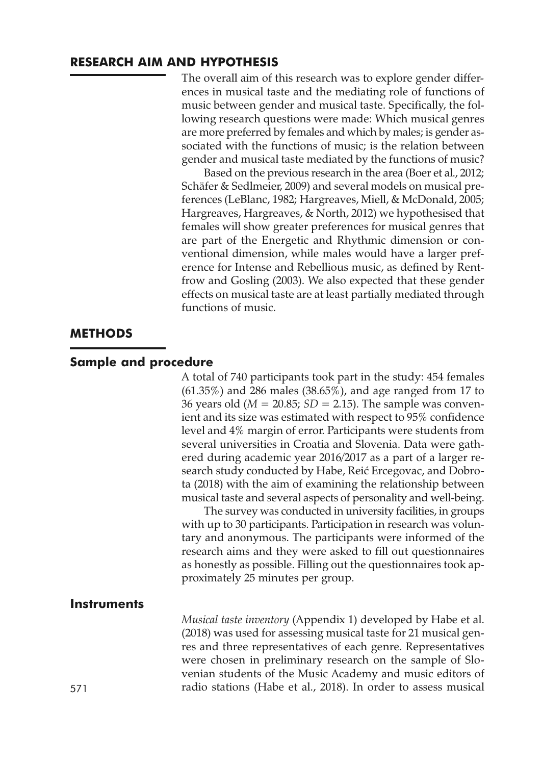#### **RESEARCH AIM AND HYPOTHESIS**

The overall aim of this research was to explore gender differences in musical taste and the mediating role of functions of music between gender and musical taste. Specifically, the following research questions were made: Which musical genres are more preferred by females and which by males; is gender associated with the functions of music; is the relation between gender and musical taste mediated by the functions of music?

Based on the previous research in the area (Boer et al., 2012; Schäfer & Sedlmeier, 2009) and several models on musical preferences (LeBlanc, 1982; Hargreaves, Miell, & McDonald, 2005; Hargreaves, Hargreaves, & North, 2012) we hypothesised that females will show greater preferences for musical genres that are part of the Energetic and Rhythmic dimension or conventional dimension, while males would have a larger preference for Intense and Rebellious music, as defined by Rentfrow and Gosling (2003). We also expected that these gender effects on musical taste are at least partially mediated through functions of music.

#### **METHODS**

#### **Sample and procedure**

A total of 740 participants took part in the study: 454 females (61.35%) and 286 males (38.65%), and age ranged from 17 to 36 years old (*M* = 20.85; *SD* = 2.15). The sample was convenient and its size was estimated with respect to 95% confidence level and 4% margin of error. Participants were students from several universities in Croatia and Slovenia. Data were gathered during academic year 2016/2017 as a part of a larger research study conducted by Habe, Reić Ercegovac, and Dobrota (2018) with the aim of examining the relationship between musical taste and several aspects of personality and well-being.

The survey was conducted in university facilities, in groups with up to 30 participants. Participation in research was voluntary and anonymous. The participants were informed of the research aims and they were asked to fill out questionnaires as honestly as possible. Filling out the questionnaires took approximately 25 minutes per group.

#### **Instruments**

*Musical taste inventory* (Appendix 1) developed by Habe et al. (2018) was used for assessing musical taste for 21 musical genres and three representatives of each genre. Representatives were chosen in preliminary research on the sample of Slovenian students of the Music Academy and music editors of 571 radio stations (Habe et al., 2018). In order to assess musical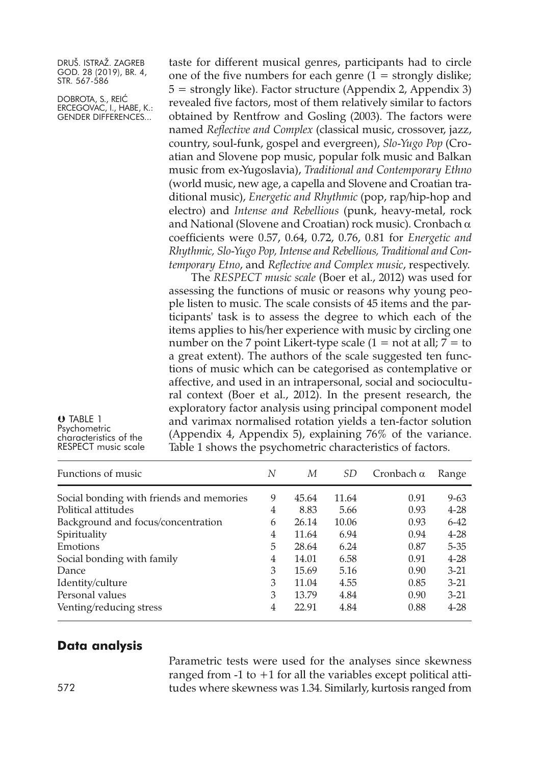DOBROTA, S., REIĆ ERCEGOVAC, I., HABE, K.: GENDER DIFFERENCES...

taste for different musical genres, participants had to circle one of the five numbers for each genre  $(1 =$  strongly dislike;  $5 =$  strongly like). Factor structure (Appendix 2, Appendix 3) revealed five factors, most of them relatively similar to factors obtained by Rentfrow and Gosling (2003). The factors were named *Reflective and Complex* (classical music, crossover, jazz, country, soul-funk, gospel and evergreen), *Slo-Yugo Pop* (Croatian and Slovene pop music, popular folk music and Balkan music from ex-Yugoslavia), *Traditional and Contemporary Ethno* (world music, new age, a capella and Slovene and Croatian traditional music), *Energetic and Rhythmic* (pop, rap/hip-hop and electro) and *Intense and Rebellious* (punk, heavy-metal, rock and National (Slovene and Croatian) rock music). Cronbach α coefficients were 0.57, 0.64, 0.72, 0.76, 0.81 for *Energetic and Rhythmic, Slo-Yugo Pop, Intense and Rebellious, Traditional and Contemporary Etno*, and *Reflective and Complex music*, respectively.

The *RESPECT music scale* (Boer et al., 2012) was used for assessing the functions of music or reasons why young people listen to music. The scale consists of 45 items and the participants' task is to assess the degree to which each of the items applies to his/her experience with music by circling one number on the 7 point Likert-type scale  $(1 = not at all; 7 = to$ a great extent). The authors of the scale suggested ten functions of music which can be categorised as contemplative or affective, and used in an intrapersonal, social and sociocultural context (Boer et al., 2012). In the present research, the exploratory factor analysis using principal component model and varimax normalised rotation yields a ten-factor solution (Appendix 4, Appendix 5), explaining 76% of the variance. Table 1 shows the psychometric characteristics of factors.

**U** TABLE 1<br>Psychometric characteristics of the<br>RESPECT music scale

| Functions of music                       | N | М     | SD.   | Cronbach $\alpha$ | Range    |
|------------------------------------------|---|-------|-------|-------------------|----------|
| Social bonding with friends and memories | 9 | 45.64 | 11.64 | 0.91              | $9 - 63$ |
| Political attitudes                      | 4 | 8.83  | 5.66  | 0.93              | $4 - 28$ |
| Background and focus/concentration       | 6 | 26.14 | 10.06 | 0.93              | $6 - 42$ |
| Spirituality                             | 4 | 11.64 | 6.94  | 0.94              | $4 - 28$ |
| Emotions                                 | 5 | 28.64 | 6.24  | 0.87              | $5 - 35$ |
| Social bonding with family               | 4 | 14.01 | 6.58  | 0.91              | $4 - 28$ |
| Dance                                    | 3 | 15.69 | 5.16  | 0.90              | $3 - 21$ |
| Identity/culture                         | 3 | 11.04 | 4.55  | 0.85              | $3 - 21$ |
| Personal values                          | 3 | 13.79 | 4.84  | 0.90              | $3 - 21$ |
| Venting/reducing stress                  | 4 | 22.91 | 4.84  | 0.88              | $4 - 28$ |

#### **Data analysis**

Parametric tests were used for the analyses since skewness ranged from  $-1$  to  $+1$  for all the variables except political atti-572 tudes where skewness was 1.34. Similarly, kurtosis ranged from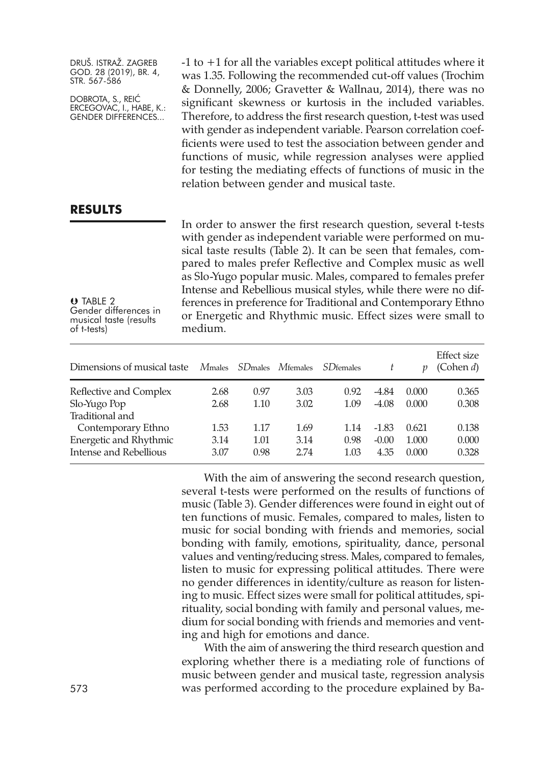DOBROTA, S., REIĆ ERCEGOVAC, I., HABE, K.: GENDER DIFFERENCES...

-1 to +1 for all the variables except political attitudes where it was 1.35. Following the recommended cut-off values (Trochim & Donnelly, 2006; Gravetter & Wallnau, 2014), there was no significant skewness or kurtosis in the included variables. Therefore, to address the first research question, t-test was used with gender as independent variable. Pearson correlation coefficients were used to test the association between gender and functions of music, while regression analyses were applied for testing the mediating effects of functions of music in the relation between gender and musical taste.

#### **RESULTS**

**U** TABLE 2<br>Gender differences in Gender differences in musical taste (results of t-tests)

In order to answer the first research question, several t-tests with gender as independent variable were performed on musical taste results (Table 2). It can be seen that females, compared to males prefer Reflective and Complex music as well as Slo-Yugo popular music. Males, compared to females prefer Intense and Rebellious musical styles, while there were no differences in preference for Traditional and Contemporary Ethno or Energetic and Rhythmic music. Effect sizes were small to medium.

| Dimensions of musical taste                                            | <i>Mmales</i>        | <i>SD</i> males      | <i>M</i> females     | <i>SD</i> females    |                            | p                       | Effect size<br>(Cohen $d$ ) |
|------------------------------------------------------------------------|----------------------|----------------------|----------------------|----------------------|----------------------------|-------------------------|-----------------------------|
| Reflective and Complex<br>Slo-Yugo Pop<br>Traditional and              | 2.68<br>2.68         | 0.97<br>1.10         | 3.03<br>3.02         | 0.92<br>1.09         | -4.84<br>$-4.08$           | 0.000<br>0.000          | 0.365<br>0.308              |
| Contemporary Ethno<br>Energetic and Rhythmic<br>Intense and Rebellious | 1.53<br>3.14<br>3.07 | 1.17<br>1.01<br>0.98 | 1.69<br>3.14<br>2.74 | 1.14<br>0.98<br>1.03 | $-1.83$<br>$-0.00$<br>4.35 | 0.621<br>1.000<br>0.000 | 0.138<br>0.000<br>0.328     |

With the aim of answering the second research question, several t-tests were performed on the results of functions of music (Table 3). Gender differences were found in eight out of ten functions of music. Females, compared to males, listen to music for social bonding with friends and memories, social bonding with family, emotions, spirituality, dance, personal values and venting/reducing stress. Males, compared to females, listen to music for expressing political attitudes. There were no gender differences in identity/culture as reason for listening to music. Effect sizes were small for political attitudes, spirituality, social bonding with family and personal values, medium for social bonding with friends and memories and venting and high for emotions and dance.

With the aim of answering the third research question and exploring whether there is a mediating role of functions of music between gender and musical taste, regression analysis 573 was performed according to the procedure explained by Ba-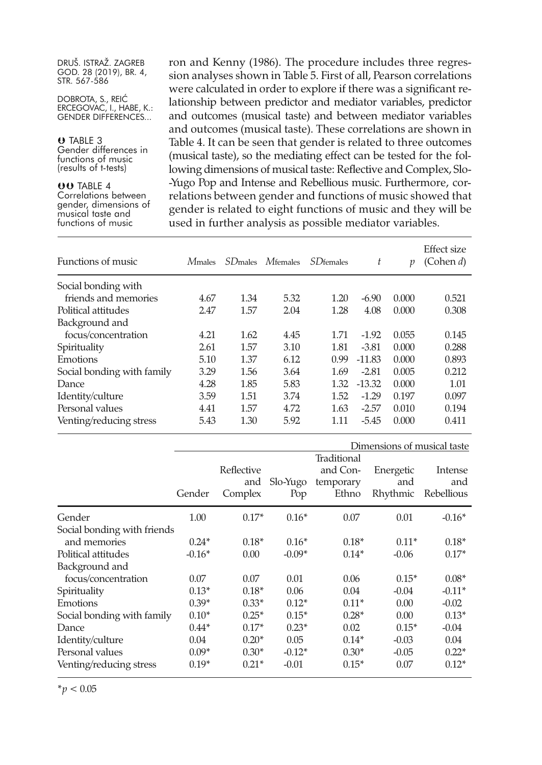DOBROTA, S., REIĆ ERCEGOVAC, I., HABE, K.: GENDER DIFFERENCES...

**U** TABLE 3<br>Gender differences in functions of music<br>(results of t-tests)

**OO TABLE 4**<br>Correlations between Correlations between gender, dimensions of musical taste and functions of music

ron and Kenny (1986). The procedure includes three regression analyses shown in Table 5. First of all, Pearson correlations were calculated in order to explore if there was a significant relationship between predictor and mediator variables, predictor and outcomes (musical taste) and between mediator variables and outcomes (musical taste). These correlations are shown in Table 4. It can be seen that gender is related to three outcomes (musical taste), so the mediating effect can be tested for the following dimensions of musical taste: Reflective and Complex, Slo- -Yugo Pop and Intense and Rebellious music. Furthermore, correlations between gender and functions of music showed that gender is related to eight functions of music and they will be used in further analysis as possible mediator variables.

| Functions of music         | <i>Mmales</i> | <i>SD</i> <sub>males</sub> | $M$ females | <b>SD</b> females | t        | p     | Effect size<br>(Cohen $d$ ) |
|----------------------------|---------------|----------------------------|-------------|-------------------|----------|-------|-----------------------------|
| Social bonding with        |               |                            |             |                   |          |       |                             |
| friends and memories       | 4.67          | 1.34                       | 5.32        | 1.20              | $-6.90$  | 0.000 | 0.521                       |
| Political attitudes        | 2.47          | 1.57                       | 2.04        | 1.28              | 4.08     | 0.000 | 0.308                       |
| Background and             |               |                            |             |                   |          |       |                             |
| focus/concentration        | 4.21          | 1.62                       | 4.45        | 1.71              | $-1.92$  | 0.055 | 0.145                       |
| Spirituality               | 2.61          | 1.57                       | 3.10        | 1.81              | $-3.81$  | 0.000 | 0.288                       |
| Emotions                   | 5.10          | 1.37                       | 6.12        | 0.99              | $-11.83$ | 0.000 | 0.893                       |
| Social bonding with family | 3.29          | 1.56                       | 3.64        | 1.69              | $-2.81$  | 0.005 | 0.212                       |
| Dance                      | 4.28          | 1.85                       | 5.83        | 1.32              | $-13.32$ | 0.000 | 1.01                        |
| Identity/culture           | 3.59          | 1.51                       | 3.74        | 1.52              | $-1.29$  | 0.197 | 0.097                       |
| Personal values            | 4.41          | 1.57                       | 4.72        | 1.63              | $-2.57$  | 0.010 | 0.194                       |
| Venting/reducing stress    | 5.43          | 1.30                       | 5.92        | 1.11              | $-5.45$  | 0.000 | 0.411                       |

|                             |          |                              |                 |                                               | Dimensions of musical taste  |                              |
|-----------------------------|----------|------------------------------|-----------------|-----------------------------------------------|------------------------------|------------------------------|
|                             | Gender   | Reflective<br>and<br>Complex | Slo-Yugo<br>Pop | Traditional<br>and Con-<br>temporary<br>Ethno | Energetic<br>and<br>Rhythmic | Intense<br>and<br>Rebellious |
| Gender                      | 1.00     | $0.17*$                      | $0.16*$         | 0.07                                          | 0.01                         | $-0.16*$                     |
| Social bonding with friends |          |                              |                 |                                               |                              |                              |
| and memories                | $0.24*$  | $0.18*$                      | $0.16*$         | $0.18*$                                       | $0.11*$                      | $0.18*$                      |
| Political attitudes         | $-0.16*$ | 0.00                         | $-0.09*$        | $0.14*$                                       | $-0.06$                      | $0.17*$                      |
| Background and              |          |                              |                 |                                               |                              |                              |
| focus/concentration         | 0.07     | 0.07                         | 0.01            | 0.06                                          | $0.15*$                      | $0.08*$                      |
| Spirituality                | $0.13*$  | $0.18*$                      | 0.06            | 0.04                                          | $-0.04$                      | $-0.11*$                     |
| Emotions                    | $0.39*$  | $0.33*$                      | $0.12*$         | $0.11*$                                       | 0.00                         | $-0.02$                      |
| Social bonding with family  | $0.10*$  | $0.25*$                      | $0.15*$         | $0.28*$                                       | 0.00                         | $0.13*$                      |
| Dance                       | $0.44*$  | $0.17*$                      | $0.23*$         | 0.02                                          | $0.15*$                      | $-0.04$                      |
| Identity/culture            | 0.04     | $0.20*$                      | 0.05            | $0.14*$                                       | $-0.03$                      | 0.04                         |
| Personal values             | $0.09*$  | $0.30*$                      | $-0.12*$        | $0.30*$                                       | $-0.05$                      | $0.22*$                      |
| Venting/reducing stress     | $0.19*$  | $0.21*$                      | $-0.01$         | $0.15*$                                       | 0.07                         | $0.12*$                      |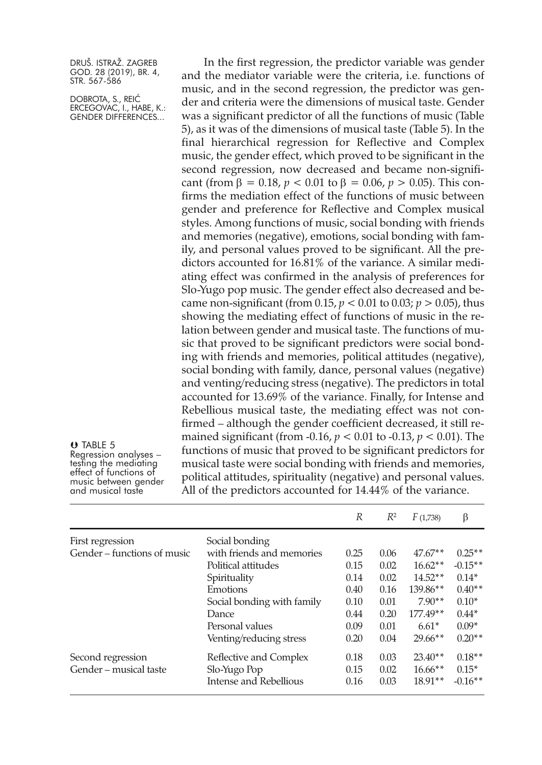DOBROTA, S., REIĆ ERCEGOVAC, I., HABE, K.: GENDER DIFFERENCES...

**U** TABLE 5<br>Regression analyses –

resting the mediating<br>effect of functions of<br>music between gender<br>and musical taste

In the first regression, the predictor variable was gender and the mediator variable were the criteria, i.e. functions of music, and in the second regression, the predictor was gender and criteria were the dimensions of musical taste. Gender was a significant predictor of all the functions of music (Table 5), as it was of the dimensions of musical taste (Table 5). In the final hierarchical regression for Reflective and Complex music, the gender effect, which proved to be significant in the second regression, now decreased and became non-significant (from β = 0.18, *p* < 0.01 to β = 0.06, *p* > 0.05). This confirms the mediation effect of the functions of music between gender and preference for Reflective and Complex musical styles. Among functions of music, social bonding with friends and memories (negative), emotions, social bonding with family, and personal values proved to be significant. All the predictors accounted for 16.81% of the variance. A similar mediating effect was confirmed in the analysis of preferences for Slo-Yugo pop music. The gender effect also decreased and became non-significant (from  $0.15$ ,  $p < 0.01$  to  $0.03$ ;  $p > 0.05$ ), thus showing the mediating effect of functions of music in the relation between gender and musical taste. The functions of music that proved to be significant predictors were social bonding with friends and memories, political attitudes (negative), social bonding with family, dance, personal values (negative) and venting/reducing stress (negative). The predictors in total accounted for 13.69% of the variance. Finally, for Intense and Rebellious musical taste, the mediating effect was not confirmed – although the gender coefficient decreased, it still remained significant (from -0.16, *p* < 0.01 to -0.13, *p* < 0.01). The functions of music that proved to be significant predictors for musical taste were social bonding with friends and memories, political attitudes, spirituality (negative) and personal values. All of the predictors accounted for 14.44% of the variance.

|                             |                            | R    | $R^2$ | F(1,738)   | β         |
|-----------------------------|----------------------------|------|-------|------------|-----------|
| First regression            | Social bonding             |      |       |            |           |
| Gender – functions of music | with friends and memories  | 0.25 | 0.06  | $47.67**$  | $0.25**$  |
|                             | Political attitudes        | 0.15 | 0.02  | $16.62**$  | $-0.15**$ |
|                             | Spirituality               | 0.14 | 0.02  | $14.52**$  | $0.14*$   |
|                             | Emotions                   | 0.40 | 0.16  | 139.86**   | $0.40**$  |
|                             | Social bonding with family | 0.10 | 0.01  | $7.90**$   | $0.10*$   |
|                             | Dance                      | 0.44 | 0.20  | $177.49**$ | $0.44*$   |
|                             | Personal values            | 0.09 | 0.01  | $6.61*$    | $0.09*$   |
|                             | Venting/reducing stress    | 0.20 | 0.04  | $29.66**$  | $0.20**$  |
| Second regression           | Reflective and Complex     | 0.18 | 0.03  | $23.40**$  | $0.18**$  |
| Gender – musical taste      | Slo-Yugo Pop               | 0.15 | 0.02  | $16.66**$  | $0.15*$   |
|                             | Intense and Rebellious     | 0.16 | 0.03  | $18.91**$  | $-0.16**$ |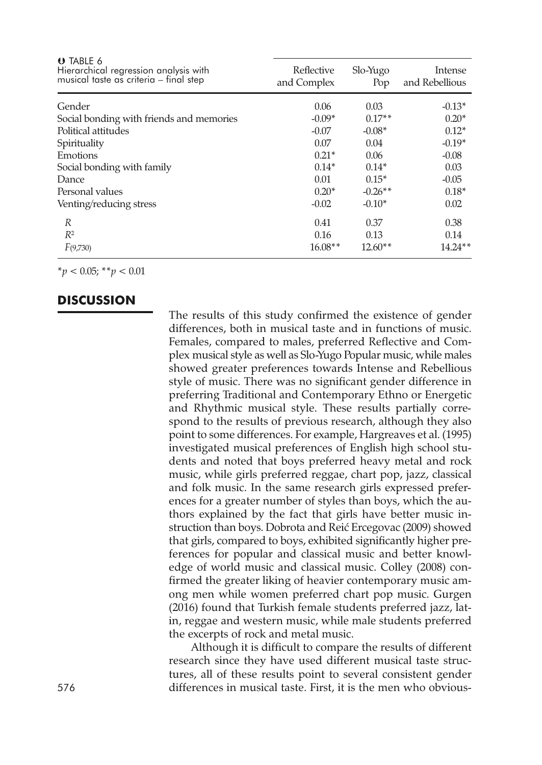| <b>U</b> TABLE 6<br>Hierarchical regression analysis with<br>musical taste as criteria – final step | Reflective<br>and Complex | Slo-Yugo<br>Pop | Intense<br>and Rebellious |
|-----------------------------------------------------------------------------------------------------|---------------------------|-----------------|---------------------------|
| Gender                                                                                              | 0.06                      | 0.03            | $-0.13*$                  |
| Social bonding with friends and memories                                                            | $-0.09*$                  | $0.17**$        | $0.20*$                   |
| Political attitudes                                                                                 | $-0.07$                   | $-0.08*$        | $0.12*$                   |
| Spirituality                                                                                        | 0.07                      | 0.04            | $-0.19*$                  |
| Emotions                                                                                            | $0.21*$                   | 0.06            | $-0.08$                   |
| Social bonding with family                                                                          | $0.14*$                   | $0.14*$         | 0.03                      |
| Dance                                                                                               | 0.01                      | $0.15*$         | $-0.05$                   |
| Personal values                                                                                     | $0.20*$                   | $-0.26**$       | $0.18*$                   |
| Venting/reducing stress                                                                             | $-0.02$                   | $-0.10*$        | 0.02                      |
| R                                                                                                   | 0.41                      | 0.37            | 0.38                      |
| $R^2$                                                                                               | 0.16                      | 0.13            | 0.14                      |
| F(9,730)                                                                                            | $16.08**$                 | $12.60**$       | $14.24**$                 |
|                                                                                                     |                           |                 |                           |

\**p* < 0.05; \*\**p* < 0.01

#### **DISCUSSION**

The results of this study confirmed the existence of gender differences, both in musical taste and in functions of music. Females, compared to males, preferred Reflective and Complex musical style as well as Slo-Yugo Popular music, while males showed greater preferences towards Intense and Rebellious style of music. There was no significant gender difference in preferring Traditional and Contemporary Ethno or Energetic and Rhythmic musical style. These results partially correspond to the results of previous research, although they also point to some differences. For example, Hargreaves et al. (1995) investigated musical preferences of English high school students and noted that boys preferred heavy metal and rock music, while girls preferred reggae, chart pop, jazz, classical and folk music. In the same research girls expressed preferences for a greater number of styles than boys, which the authors explained by the fact that girls have better music instruction than boys. Dobrota and Reić Ercegovac (2009) showed that girls, compared to boys, exhibited significantly higher preferences for popular and classical music and better knowledge of world music and classical music. Colley (2008) confirmed the greater liking of heavier contemporary music among men while women preferred chart pop music. Gurgen (2016) found that Turkish female students preferred jazz, latin, reggae and western music, while male students preferred the excerpts of rock and metal music.

Although it is difficult to compare the results of different research since they have used different musical taste structures, all of these results point to several consistent gender 576 differences in musical taste. First, it is the men who obvious-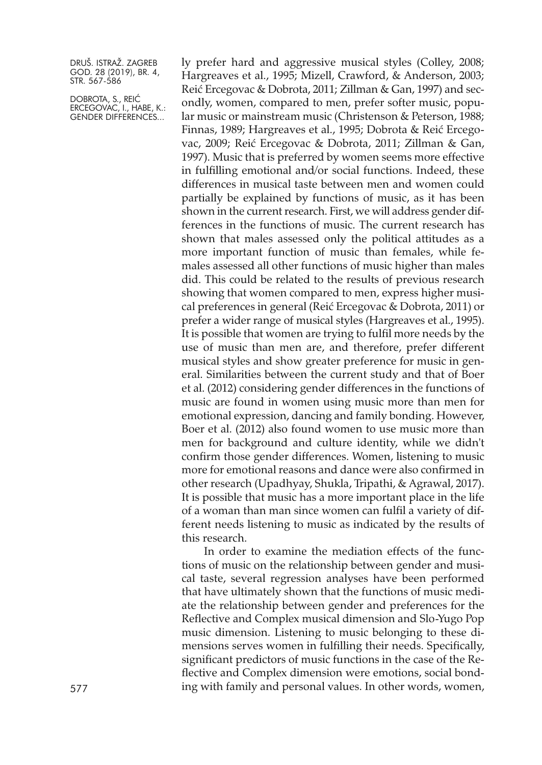DOBROTA, S., REIĆ ERCEGOVAC, I., HABE, K.: GENDER DIFFERENCES...

ly prefer hard and aggressive musical styles (Colley, 2008; Hargreaves et al., 1995; Mizell, Crawford, & Anderson, 2003; Reić Ercegovac & Dobrota, 2011; Zillman & Gan, 1997) and secondly, women, compared to men, prefer softer music, popular music or mainstream music (Christenson & Peterson, 1988; Finnas, 1989; Hargreaves et al., 1995; Dobrota & Reić Ercegovac, 2009; Reić Ercegovac & Dobrota, 2011; Zillman & Gan, 1997). Music that is preferred by women seems more effective in fulfilling emotional and/or social functions. Indeed, these differences in musical taste between men and women could partially be explained by functions of music, as it has been shown in the current research. First, we will address gender differences in the functions of music. The current research has shown that males assessed only the political attitudes as a more important function of music than females, while females assessed all other functions of music higher than males did. This could be related to the results of previous research showing that women compared to men, express higher musical preferences in general (Reić Ercegovac & Dobrota, 2011) or prefer a wider range of musical styles (Hargreaves et al., 1995). It is possible that women are trying to fulfil more needs by the use of music than men are, and therefore, prefer different musical styles and show greater preference for music in general. Similarities between the current study and that of Boer et al. (2012) considering gender differences in the functions of music are found in women using music more than men for emotional expression, dancing and family bonding. However, Boer et al. (2012) also found women to use music more than men for background and culture identity, while we didn't confirm those gender differences. Women, listening to music more for emotional reasons and dance were also confirmed in other research (Upadhyay, Shukla, Tripathi, & Agrawal, 2017). It is possible that music has a more important place in the life of a woman than man since women can fulfil a variety of different needs listening to music as indicated by the results of this research.

In order to examine the mediation effects of the functions of music on the relationship between gender and musical taste, several regression analyses have been performed that have ultimately shown that the functions of music mediate the relationship between gender and preferences for the Reflective and Complex musical dimension and Slo-Yugo Pop music dimension. Listening to music belonging to these dimensions serves women in fulfilling their needs. Specifically, significant predictors of music functions in the case of the Reflective and Complex dimension were emotions, social bond-577 ing with family and personal values. In other words, women,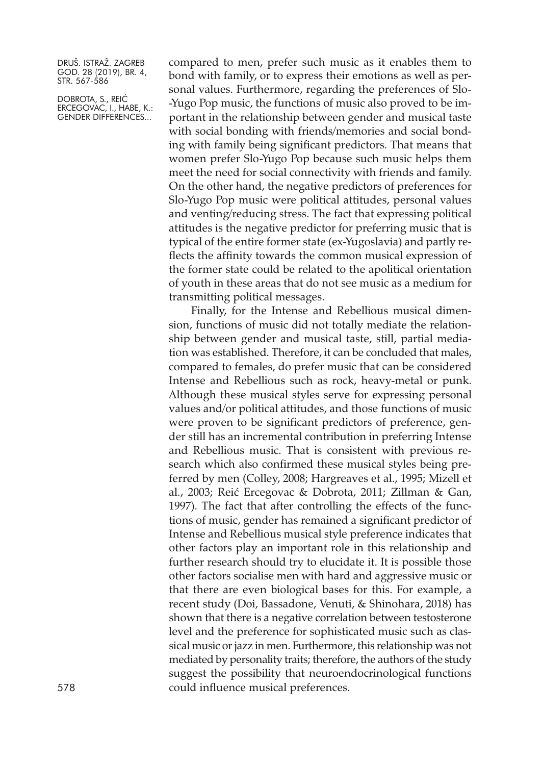DOBROTA, S., REIĆ ERCEGOVAC, I., HABE, K.: GENDER DIFFERENCES...

compared to men, prefer such music as it enables them to bond with family, or to express their emotions as well as personal values. Furthermore, regarding the preferences of Slo- -Yugo Pop music, the functions of music also proved to be important in the relationship between gender and musical taste with social bonding with friends/memories and social bonding with family being significant predictors. That means that women prefer Slo-Yugo Pop because such music helps them meet the need for social connectivity with friends and family. On the other hand, the negative predictors of preferences for Slo-Yugo Pop music were political attitudes, personal values and venting/reducing stress. The fact that expressing political attitudes is the negative predictor for preferring music that is typical of the entire former state (ex-Yugoslavia) and partly reflects the affinity towards the common musical expression of the former state could be related to the apolitical orientation of youth in these areas that do not see music as a medium for transmitting political messages.

Finally, for the Intense and Rebellious musical dimension, functions of music did not totally mediate the relationship between gender and musical taste, still, partial mediation was established. Therefore, it can be concluded that males, compared to females, do prefer music that can be considered Intense and Rebellious such as rock, heavy-metal or punk. Although these musical styles serve for expressing personal values and/or political attitudes, and those functions of music were proven to be significant predictors of preference, gender still has an incremental contribution in preferring Intense and Rebellious music. That is consistent with previous research which also confirmed these musical styles being preferred by men (Colley, 2008; Hargreaves et al., 1995; Mizell et al., 2003; Reić Ercegovac & Dobrota, 2011; Zillman & Gan, 1997). The fact that after controlling the effects of the functions of music, gender has remained a significant predictor of Intense and Rebellious musical style preference indicates that other factors play an important role in this relationship and further research should try to elucidate it. It is possible those other factors socialise men with hard and aggressive music or that there are even biological bases for this. For example, a recent study (Doi, Bassadone, Venuti, & Shinohara, 2018) has shown that there is a negative correlation between testosterone level and the preference for sophisticated music such as classical music or jazz in men. Furthermore, this relationship was not mediated by personality traits; therefore, the authors of the study suggest the possibility that neuroendocrinological functions 578 could influence musical preferences.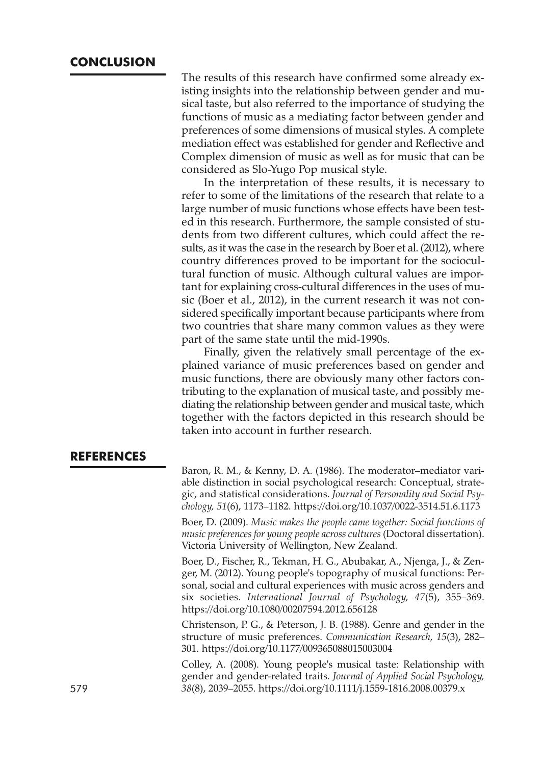The results of this research have confirmed some already existing insights into the relationship between gender and musical taste, but also referred to the importance of studying the functions of music as a mediating factor between gender and preferences of some dimensions of musical styles. A complete mediation effect was established for gender and Reflective and Complex dimension of music as well as for music that can be considered as Slo-Yugo Pop musical style.

In the interpretation of these results, it is necessary to refer to some of the limitations of the research that relate to a large number of music functions whose effects have been tested in this research. Furthermore, the sample consisted of students from two different cultures, which could affect the results, as it was the case in the research by Boer et al. (2012), where country differences proved to be important for the sociocultural function of music. Although cultural values are important for explaining cross-cultural differences in the uses of music (Boer et al., 2012), in the current research it was not considered specifically important because participants where from two countries that share many common values as they were part of the same state until the mid-1990s.

Finally, given the relatively small percentage of the explained variance of music preferences based on gender and music functions, there are obviously many other factors contributing to the explanation of musical taste, and possibly mediating the relationship between gender and musical taste, which together with the factors depicted in this research should be taken into account in further research.

#### **REFERENCES**

Baron, R. M., & Kenny, D. A. (1986). The moderator–mediator variable distinction in social psychological research: Conceptual, strategic, and statistical considerations. *Journal of Personality and Social Psychology, 51*(6), 1173–1182. <https://doi.org/10.1037/0022-3514.51.6.1173>

Boer, D. (2009). *Music makes the people came together: Social functions of music preferences for young people across cultures* (Doctoral dissertation). Victoria University of Wellington, New Zealand.

Boer, D., Fischer, R., Tekman, H. G., Abubakar, A., Njenga, J., & Zenger, M. (2012). Young people's topography of musical functions: Personal, social and cultural experiences with music across genders and six societies. *International Journal of Psychology, 47*(5), 355–369. <https://doi.org/10.1080/00207594.2012.656128>

Christenson, P. G., & Peterson, J. B. (1988). Genre and gender in the structure of music preferences. *Communication Research, 15*(3), 282– 301. <https://doi.org/10.1177/009365088015003004>

Colley, A. (2008). Young people's musical taste: Relationship with gender and gender-related traits. *Journal of Applied Social Psychology,* 579 *38*(8), 2039–2055. <https://doi.org/10.1111/j.1559-1816.2008.00379.x>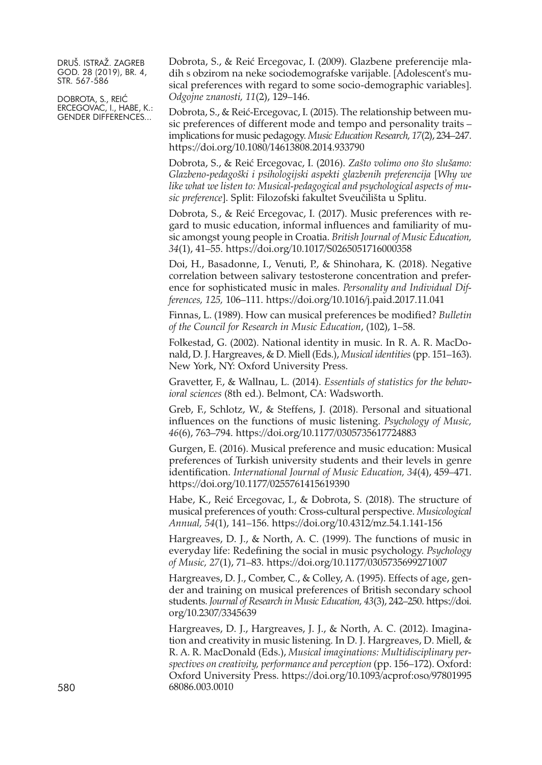DOBROTA, S., REIĆ ERCEGOVAC, I., HABE, K.: GENDER DIFFERENCES...

Dobrota, S., & Reić Ercegovac, I. (2009). Glazbene preferencije mladih s obzirom na neke sociodemografske varijable. [Adolescent's musical preferences with regard to some socio-demographic variables]. *Odgojne znanosti, 11*(2), 129–146.

Dobrota, S., & Reić-Ercegovac, I. (2015). The relationship between music preferences of different mode and tempo and personality traits – implications for music pedagogy. *Music Education Research, 17*(2), 234–247. <https://doi.org/10.1080/14613808.2014.933790>

Dobrota, S., & Reić Ercegovac, I. (2016). *Zašto volimo ono što slušamo: Glazbeno-pedagoški i psihologijski aspekti glazbenih preferencija* [*Why we like what we listen to: Musical-pedagogical and psychological aspects of music preference*]. Split: Filozofski fakultet Sveučilišta u Splitu.

Dobrota, S., & Reić Ercegovac, I. (2017). Music preferences with regard to music education, informal influences and familiarity of music amongst young people in Croatia. *British Journal of Music Education, 34*(1), 41–55. <https://doi.org/10.1017/S0265051716000358>

Doi, H., Basadonne, I., Venuti, P., & Shinohara, K. (2018). Negative correlation between salivary testosterone concentration and preference for sophisticated music in males. *Personality and Individual Differences, 125,* 106–111. <https://doi.org/10.1016/j.paid.2017.11.041>

Finnas, L. (1989). How can musical preferences be modified? *Bulletin of the Council for Research in Music Education*, (102), 1–58.

Folkestad, G. (2002). National identity in music. In R. A. R. MacDonald, D. J. Hargreaves, & D. Miell (Eds.), *Musical identities*(pp. 151–163). New York, NY: Oxford University Press.

Gravetter, F., & Wallnau, L. (2014). *Essentials of statistics for the behavioral sciences* (8th ed.). Belmont, CA: Wadsworth.

Greb, F., Schlotz, W., & Steffens, J. (2018). Personal and situational influences on the functions of music listening. *Psychology of Music, 46*(6), 763–794. <https://doi.org/10.1177/0305735617724883>

Gurgen, E. (2016). Musical preference and music education: Musical preferences of Turkish university students and their levels in genre identification. *International Journal of Music Education, 34*(4), 459–471. <https://doi.org/10.1177/0255761415619390>

Habe, K., Reić Ercegovac, I., & Dobrota, S. (2018). The structure of musical preferences of youth: Cross-cultural perspective. *Musicological Annual, 54*(1), 141–156. <https://doi.org/10.4312/mz.54.1.141-156>

Hargreaves, D. J., & North, A. C. (1999). The functions of music in everyday life: Redefining the social in music psychology. *Psychology of Music, 27*(1), 71–83. <https://doi.org/10.1177/0305735699271007>

Hargreaves, D. J., Comber, C., & Colley, A. (1995). Effects of age, gender and training on musical preferences of British secondary school students. *Journal of Research in Music Education, 43*(3), 242–250. [https://doi.](https://doi.org/10.2307/3345639) [org/10.2307/3345639](https://doi.org/10.2307/3345639)

Hargreaves, D. J., Hargreaves, J. J., & North, A. C. (2012). Imagination and creativity in music listening. In D. J. Hargreaves, D. Miell, & R. A. R. MacDonald (Eds.), *Musical imaginations: Multidisciplinary perspectives on creativity, performance and perception* (pp. 156–172). Oxford: Oxford University Press. [https://doi.org/10.1093/acprof:oso/97801995](https://doi.org/10.1093/acprof:oso/9780199568086.003.0010) 580 [68086.003.0010](https://doi.org/10.1093/acprof:oso/9780199568086.003.0010)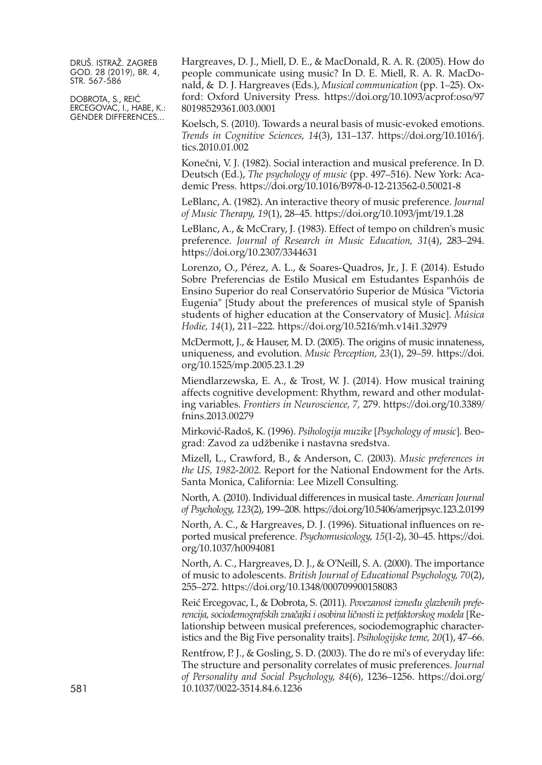DOBROTA, S., REIĆ ERCEGOVAC, I., HABE, K.: GENDER DIFFERENCES...

Hargreaves, D. J., Miell, D. E., & MacDonald, R. A. R. (2005). How do people communicate using music? In D. E. Miell, R. A. R. MacDonald, & D. J. Hargreaves (Eds.), *Musical communication* (pp. 1–25). Oxford: Oxford University Press. [https://doi.org/10.1093/acprof:oso/97](https://doi.org/10.1093/acprof:oso/9780198529361.003.0001) [80198529361.003.0001](https://doi.org/10.1093/acprof:oso/9780198529361.003.0001)

Koelsch, S. (2010). Towards a neural basis of music-evoked emotions. *Trends in Cognitive Sciences, 14*(3), 131–137. [https://doi.org/10.1016/j.](https://doi.org/10.1016/j.tics.2010.01.002) [tics.2010.01.002](https://doi.org/10.1016/j.tics.2010.01.002)

Konečni, V. J. (1982). Social interaction and musical preference. In D. Deutsch (Ed.), *The psychology of music* (pp. 497–516). New York: Academic Press. <https://doi.org/10.1016/B978-0-12-213562-0.50021-8>

LeBlanc, A. (1982). An interactive theory of music preference. *Journal of Music Therapy, 19*(1), 28–45. <https://doi.org/10.1093/jmt/19.1.28>

LeBlanc, A., & McCrary, J. (1983). Effect of tempo on children's music preference. *Journal of Research in Music Education, 31*(4), 283–294. <https://doi.org/10.2307/3344631>

Lorenzo, O., Pérez, A. L., & Soares-Quadros, Jr., J. F. (2014). Estudo Sobre Preferencias de Estilo Musical em Estudantes Espanhóis de Ensino Superior do real Conservatório Superior de Música "Victoria Eugenia" [Study about the preferences of musical style of Spanish students of higher education at the Conservatory of Music]. *Música Hodie, 14*(1), 211–222. <https://doi.org/10.5216/mh.v14i1.32979>

McDermott, J., & Hauser, M. D. (2005). The origins of music innateness, uniqueness, and evolution. *Music Perception, 23*(1), 29–59. [https://doi.](https://doi.org/10.1525/mp.2005.23.1.29) [org/10.1525/mp.2005.23.1.29](https://doi.org/10.1525/mp.2005.23.1.29)

Miendlarzewska, E. A., & Trost, W. J. (2014). How musical training affects cognitive development: Rhythm, reward and other modulating variables. *Frontiers in Neuroscience, 7,* 279. [https://doi.org/10.3389/](https://doi.org/10.3389/fnins.2013.00279) [fnins.2013.00279](https://doi.org/10.3389/fnins.2013.00279)

Mirković-Radoš, K. (1996). *Psihologija muzike* [*Psychology of music*]. Beograd: Zavod za udžbenike i nastavna sredstva.

Mizell, L., Crawford, B., & Anderson, C. (2003). *Music preferences in the US, 1982-2002.* Report for the National Endowment for the Arts. Santa Monica, California: Lee Mizell Consulting.

North, A. (2010). Individual differences in musical taste. *American Journal of Psychology, 123*(2), 199–208. <https://doi.org/10.5406/amerjpsyc.123.2.0199>

North, A. C., & Hargreaves, D. J. (1996). Situational influences on reported musical preference. *Psychomusicology, 15*(1-2), 30–45. [https://doi.](https://doi.org/10.1037/h0094081) [org/10.1037/h0094081](https://doi.org/10.1037/h0094081)

North, A. C., Hargreaves, D. J., & O'Neill, S. A. (2000). The importance of music to adolescents. *British Journal of Educational Psychology, 70*(2), 255–272. <https://doi.org/10.1348/000709900158083>

Reić Ercegovac, I., & Dobrota, S. (2011). *Povezanost između glazbenih preferencija,sociodemografskih značajki i osobina ličnosti iz petfaktorskog modela* [Relationship between musical preferences, sociodemographic characteristics and the Big Five personality traits]. *Psihologijske teme, 20*(1), 47–66.

Rentfrow, P.J., & Gosling, S.D. (2003). The do re mi's of everyday life: The structure and personality correlates of music preferences. *Journal of Personality and Social Psychology, 84*(6), 1236–1256. [https://doi.org/](https://doi.org/10.1037/0022-3514.84.6.1236) 581 [10.1037/0022-3514.84.6.1236](https://doi.org/10.1037/0022-3514.84.6.1236)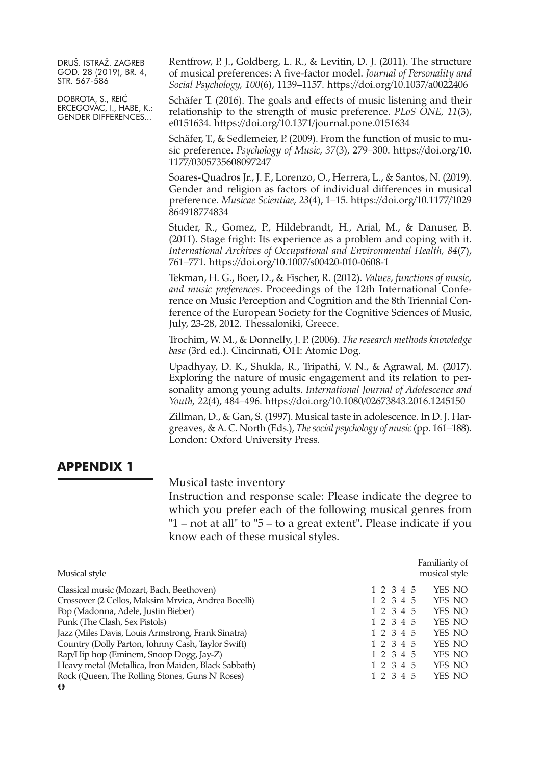DOBROTA, S., REIĆ ERCEGOVAC, I., HABE, K.: GENDER DIFFERENCES...

Rentfrow, P. J., Goldberg, L. R., & Levitin, D. J. (2011). The structure of musical preferences: A five-factor model. *Journal of Personality and Social Psychology, 100*(6), 1139–1157. <https://doi.org/10.1037/a0022406>

Schäfer T. (2016). The goals and effects of music listening and their relationship to the strength of music preference. *PLoS ONE, 11*(3), e0151634. <https://doi.org/10.1371/journal.pone.0151634>

Schäfer, T., & Sedlemeier, P. (2009). From the function of music to music preference. *Psychology of Music, 37*(3), 279–300. [https://doi.org/10.](https://doi.org/10.1177/0305735608097247) [1177/0305735608097247](https://doi.org/10.1177/0305735608097247)

Soares-Quadros Jr., J. F., Lorenzo, O., Herrera, L., & Santos, N. (2019). Gender and religion as factors of individual differences in musical preference. *Musicae Scientiae, 23*(4), 1–15. [https://doi.org/10.1177/1029](https://doi.org/10.1177/1029864918774834) [864918774834](https://doi.org/10.1177/1029864918774834)

Studer, R., Gomez, P., Hildebrandt, H., Arial, M., & Danuser, B. (2011). Stage fright: Its experience as a problem and coping with it. *International Archives of Occupational and Environmental Health, 84*(7), 761–771. <https://doi.org/10.1007/s00420-010-0608-1>

Tekman, H. G., Boer, D., & Fischer, R. (2012). *Values, functions of music, and music preferences*. Proceedings of the 12th International Conference on Music Perception and Cognition and the 8th Triennial Conference of the European Society for the Cognitive Sciences of Music, July, 23-28, 2012. Thessaloniki, Greece.

Trochim, W. M., & Donnelly, J. P. (2006). *The research methods knowledge base* (3rd ed.). Cincinnati, OH: Atomic Dog.

Upadhyay, D. K., Shukla, R., Tripathi, V. N., & Agrawal, M. (2017). Exploring the nature of music engagement and its relation to personality among young adults. *International Journal of Adolescence and Youth, 22*(4), 484–496. <https://doi.org/10.1080/02673843.2016.1245150>

Zillman, D., & Gan, S. (1997). Musical taste in adolescence. In D. J. Hargreaves, & A. C. North (Eds.), *The social psychology of music* (pp. 161–188). London: Oxford University Press.

#### **APPENDIX 1**

Musical taste inventory

Instruction and response scale: Please indicate the degree to which you prefer each of the following musical genres from "1 – not at all" to "5 – to a great extent". Please indicate if you know each of these musical styles.

|                                                     | Familiarity of      |
|-----------------------------------------------------|---------------------|
| Musical style                                       | musical style       |
| Classical music (Mozart, Bach, Beethoven)           | YES NO<br>1 2 3 4 5 |
| Crossover (2 Cellos, Maksim Mrvica, Andrea Bocelli) | 1 2 3 4 5<br>YES NO |
| Pop (Madonna, Adele, Justin Bieber)                 | YES NO<br>1 2 3 4 5 |
| Punk (The Clash, Sex Pistols)                       | 1 2 3 4 5<br>YES NO |
| Jazz (Miles Davis, Louis Armstrong, Frank Sinatra)  | YES NO<br>1 2 3 4 5 |
| Country (Dolly Parton, Johnny Cash, Taylor Swift)   | YES NO<br>1 2 3 4 5 |
| Rap/Hip hop (Eminem, Snoop Dogg, Jay-Z)             | 1 2 3 4 5<br>YES NO |
| Heavy metal (Metallica, Iron Maiden, Black Sabbath) | YES NO<br>1 2 3 4 5 |
| Rock (Queen, The Rolling Stones, Guns N' Roses)     | YES NO<br>1 2 3 4 5 |
| $\bullet$                                           |                     |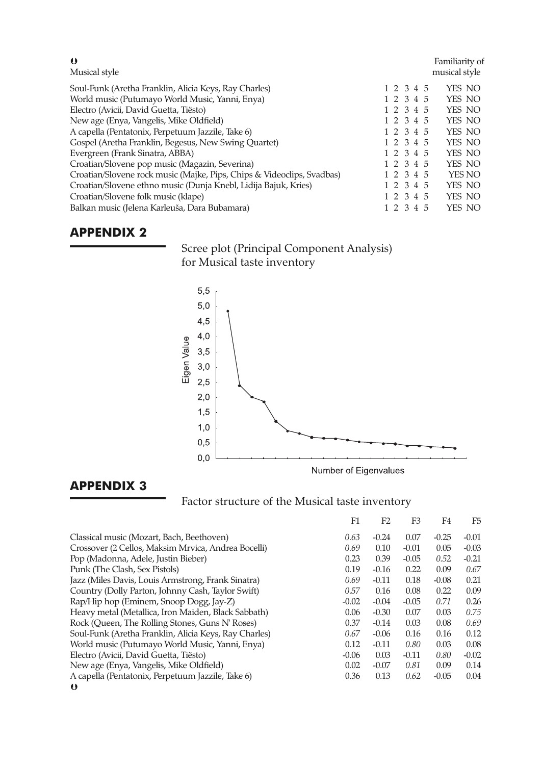| $\bullet$<br>Musical style                                             |           |  | Familiarity of<br>musical style |
|------------------------------------------------------------------------|-----------|--|---------------------------------|
| Soul-Funk (Aretha Franklin, Alicia Keys, Ray Charles)                  | 1 2 3 4 5 |  | YES NO                          |
| World music (Putumayo World Music, Yanni, Enya)                        | 1 2 3 4 5 |  | YES NO                          |
| Electro (Avicii, David Guetta, Tiësto)                                 | 1 2 3 4 5 |  | YES NO                          |
| New age (Enya, Vangelis, Mike Oldfield)                                | 1 2 3 4 5 |  | YES NO                          |
| A capella (Pentatonix, Perpetuum Jazzile, Take 6)                      | 1 2 3 4 5 |  | YES NO                          |
| Gospel (Aretha Franklin, Begesus, New Swing Quartet)                   | 1 2 3 4 5 |  | YES NO                          |
| Evergreen (Frank Sinatra, ABBA)                                        | 1 2 3 4 5 |  | YES NO                          |
| Croatian/Slovene pop music (Magazin, Severina)                         | 1 2 3 4 5 |  | YES NO                          |
| Croatian/Slovene rock music (Majke, Pips, Chips & Videoclips, Svadbas) | 1 2 3 4 5 |  | YES NO                          |
| Croatian/Slovene ethno music (Dunja Knebl, Lidija Bajuk, Kries)        | 1 2 3 4 5 |  | YES NO                          |
| Croatian/Slovene folk music (klape)                                    | 1 2 3 4 5 |  | YES NO                          |
| Balkan music (Jelena Karleuša, Dara Bubamara)                          | 1 2 3 4 5 |  | YES NO                          |

## **APPENDIX 2**

Scree plot (Principal Component Analysis) for Musical taste inventory



Number of Eigenvalues

## **APPENDIX 3**

Factor structure of the Musical taste inventory

|                                                       | F1      | F2      | F3      | F4      | F5      |
|-------------------------------------------------------|---------|---------|---------|---------|---------|
| Classical music (Mozart, Bach, Beethoven)             | 0.63    | $-0.24$ | 0.07    | $-0.25$ | $-0.01$ |
| Crossover (2 Cellos, Maksim Mrvica, Andrea Bocelli)   | 0.69    | 0.10    | $-0.01$ | 0.05    | $-0.03$ |
| Pop (Madonna, Adele, Justin Bieber)                   | 0.23    | 0.39    | $-0.05$ | 0.52    | $-0.21$ |
| Punk (The Clash, Sex Pistols)                         | 0.19    | $-0.16$ | 0.22    | 0.09    | 0.67    |
| Jazz (Miles Davis, Louis Armstrong, Frank Sinatra)    | 0.69    | $-0.11$ | 0.18    | $-0.08$ | 0.21    |
| Country (Dolly Parton, Johnny Cash, Taylor Swift)     | 0.57    | 0.16    | 0.08    | 0.22    | 0.09    |
| Rap/Hip hop (Eminem, Snoop Dogg, Jay-Z)               | $-0.02$ | $-0.04$ | $-0.05$ | 0.71    | 0.26    |
| Heavy metal (Metallica, Iron Maiden, Black Sabbath)   | 0.06    | $-0.30$ | 0.07    | 0.03    | 0.75    |
| Rock (Queen, The Rolling Stones, Guns N' Roses)       | 0.37    | $-0.14$ | 0.03    | 0.08    | 0.69    |
| Soul-Funk (Aretha Franklin, Alicia Keys, Ray Charles) | 0.67    | $-0.06$ | 0.16    | 0.16    | 0.12    |
| World music (Putumayo World Music, Yanni, Enya)       | 0.12    | $-0.11$ | 0.80    | 0.03    | 0.08    |
| Electro (Avicii, David Guetta, Tiësto)                | $-0.06$ | 0.03    | $-0.11$ | 0.80    | $-0.02$ |
| New age (Enya, Vangelis, Mike Oldfield)               | 0.02    | $-0.07$ | 0.81    | 0.09    | 0.14    |
| A capella (Pentatonix, Perpetuum Jazzile, Take 6)     | 0.36    | 0.13    | 0.62    | $-0.05$ | 0.04    |
| $\bullet$                                             |         |         |         |         |         |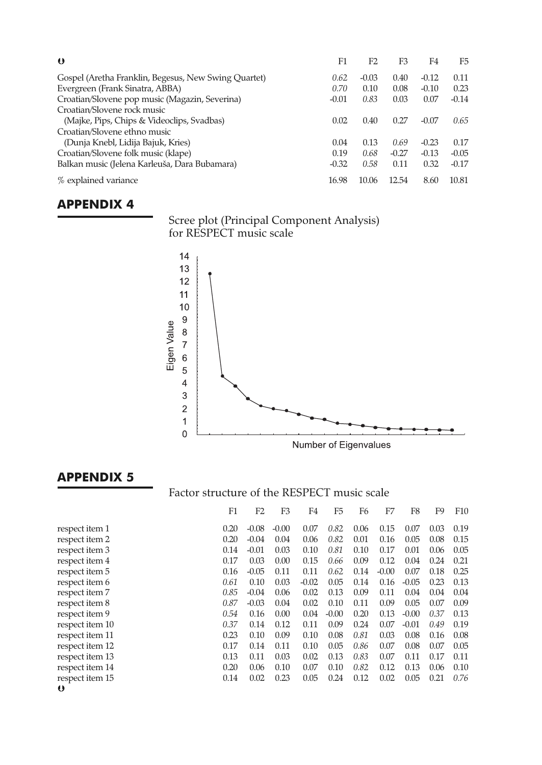| $\bullet$                                            | F1      | F <sub>2</sub> | F3      | F4      | F5      |
|------------------------------------------------------|---------|----------------|---------|---------|---------|
| Gospel (Aretha Franklin, Begesus, New Swing Quartet) | 0.62    | $-0.03$        | 0.40    | $-0.12$ | 0.11    |
| Evergreen (Frank Sinatra, ABBA)                      | 0.70    | 0.10           | 0.08    | $-0.10$ | 0.23    |
| Croatian/Slovene pop music (Magazin, Severina)       | $-0.01$ | 0.83           | 0.03    | 0.07    | $-0.14$ |
| Croatian/Slovene rock music                          |         |                |         |         |         |
| (Majke, Pips, Chips & Videoclips, Svadbas)           | 0.02    | 0.40           | 0.27    | $-0.07$ | 0.65    |
| Croatian/Slovene ethno music                         |         |                |         |         |         |
| (Dunja Knebl, Lidija Bajuk, Kries)                   | 0.04    | 0.13           | 0.69    | $-0.23$ | 0.17    |
| Croatian/Slovene folk music (klape)                  | 0.19    | 0.68           | $-0.27$ | $-0.13$ | $-0.05$ |
| Balkan music (Jelena Karleuša, Dara Bubamara)        | $-0.32$ | 0.58           | 0.11    | 0.32    | $-0.17$ |
| % explained variance                                 | 16.98   | 10.06          | 12.54   | 8.60    | 10.81   |

## **APPENDIX 4**

Scree plot (Principal Component Analysis) for RESPECT music scale



## **APPENDIX 5**

## Factor structure of the RESPECT music scale

|                 | F1   | F2      | F3      | F4      | F5      | F6   | F7      | F8      | F9   | F <sub>10</sub> |
|-----------------|------|---------|---------|---------|---------|------|---------|---------|------|-----------------|
| respect item 1  | 0.20 | $-0.08$ | $-0.00$ | 0.07    | 0.82    | 0.06 | 0.15    | 0.07    | 0.03 | 0.19            |
| respect item 2  | 0.20 | $-0.04$ | 0.04    | 0.06    | 0.82    | 0.01 | 0.16    | 0.05    | 0.08 | 0.15            |
| respect item 3  | 0.14 | $-0.01$ | 0.03    | 0.10    | 0.81    | 0.10 | 0.17    | 0.01    | 0.06 | 0.05            |
| respect item 4  | 0.17 | 0.03    | 0.00    | 0.15    | 0.66    | 0.09 | 0.12    | 0.04    | 0.24 | 0.21            |
| respect item 5  | 0.16 | $-0.05$ | 0.11    | 0.11    | 0.62    | 0.14 | $-0.00$ | 0.07    | 0.18 | 0.25            |
| respect item 6  | 0.61 | 0.10    | 0.03    | $-0.02$ | 0.05    | 0.14 | 0.16    | $-0.05$ | 0.23 | 0.13            |
| respect item 7  | 0.85 | $-0.04$ | 0.06    | 0.02    | 0.13    | 0.09 | 0.11    | 0.04    | 0.04 | 0.04            |
| respect item 8  | 0.87 | $-0.03$ | 0.04    | 0.02    | 0.10    | 0.11 | 0.09    | 0.05    | 0.07 | 0.09            |
| respect item 9  | 0.54 | 0.16    | 0.00    | 0.04    | $-0.00$ | 0.20 | 0.13    | $-0.00$ | 0.37 | 0.13            |
| respect item 10 | 0.37 | 0.14    | 0.12    | 0.11    | 0.09    | 0.24 | 0.07    | $-0.01$ | 0.49 | 0.19            |
| respect item 11 | 0.23 | 0.10    | 0.09    | 0.10    | 0.08    | 0.81 | 0.03    | 0.08    | 0.16 | 0.08            |
| respect item 12 | 0.17 | 0.14    | 0.11    | 0.10    | 0.05    | 0.86 | 0.07    | 0.08    | 0.07 | 0.05            |
| respect item 13 | 0.13 | 0.11    | 0.03    | 0.02    | 0.13    | 0.83 | 0.07    | 0.11    | 0.17 | 0.11            |
| respect item 14 | 0.20 | 0.06    | 0.10    | 0.07    | 0.10    | 0.82 | 0.12    | 0.13    | 0.06 | 0.10            |
| respect item 15 | 0.14 | 0.02    | 0.23    | 0.05    | 0.24    | 0.12 | 0.02    | 0.05    | 0.21 | 0.76            |
| $\bullet$       |      |         |         |         |         |      |         |         |      |                 |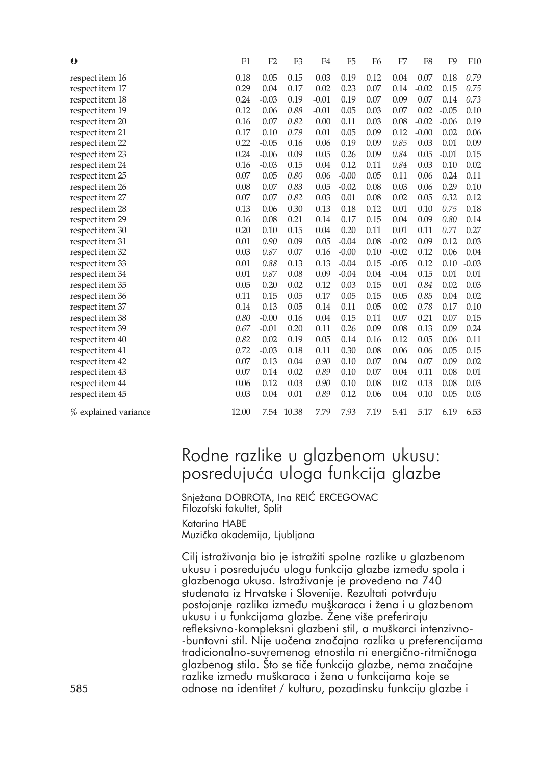| $\boldsymbol{\upsilon}$ | F1    | F2      | F <sub>3</sub> | F <sub>4</sub> | F <sub>5</sub> | F <sub>6</sub> | F7      | F <sub>8</sub> | F <sub>9</sub> | F10     |
|-------------------------|-------|---------|----------------|----------------|----------------|----------------|---------|----------------|----------------|---------|
| respect item 16         | 0.18  | 0.05    | 0.15           | 0.03           | 0.19           | 0.12           | 0.04    | 0.07           | 0.18           | 0.79    |
| respect item 17         | 0.29  | 0.04    | 0.17           | 0.02           | 0.23           | 0.07           | 0.14    | $-0.02$        | 0.15           | 0.75    |
| respect item 18         | 0.24  | $-0.03$ | 0.19           | $-0.01$        | 0.19           | 0.07           | 0.09    | 0.07           | 0.14           | 0.73    |
| respect item 19         | 0.12  | 0.06    | 0.88           | $-0.01$        | 0.05           | 0.03           | 0.07    | 0.02           | $-0.05$        | 0.10    |
| respect item 20         | 0.16  | 0.07    | 0.82           | 0.00           | 0.11           | 0.03           | 0.08    | $-0.02$        | $-0.06$        | 0.19    |
| respect item 21         | 0.17  | 0.10    | 0.79           | 0.01           | 0.05           | 0.09           | 0.12    | $-0.00$        | 0.02           | 0.06    |
| respect item 22         | 0.22  | $-0.05$ | 0.16           | 0.06           | 0.19           | 0.09           | 0.85    | 0.03           | 0.01           | 0.09    |
| respect item 23         | 0.24  | $-0.06$ | 0.09           | 0.05           | 0.26           | 0.09           | 0.84    | 0.05           | $-0.01$        | 0.15    |
| respect item 24         | 0.16  | $-0.03$ | 0.15           | 0.04           | 0.12           | 0.11           | 0.84    | 0.03           | 0.10           | 0.02    |
| respect item 25         | 0.07  | 0.05    | 0.80           | 0.06           | $-0.00$        | 0.05           | 0.11    | 0.06           | 0.24           | 0.11    |
| respect item 26         | 0.08  | 0.07    | 0.83           | 0.05           | $-0.02$        | 0.08           | 0.03    | 0.06           | 0.29           | 0.10    |
| respect item 27         | 0.07  | 0.07    | 0.82           | 0.03           | 0.01           | 0.08           | 0.02    | 0.05           | 0.32           | 0.12    |
| respect item 28         | 0.13  | 0.06    | 0.30           | 0.13           | 0.18           | 0.12           | 0.01    | 0.10           | 0.75           | 0.18    |
| respect item 29         | 0.16  | 0.08    | 0.21           | 0.14           | 0.17           | 0.15           | 0.04    | 0.09           | 0.80           | 0.14    |
| respect item 30         | 0.20  | 0.10    | 0.15           | 0.04           | 0.20           | 0.11           | 0.01    | 0.11           | 0.71           | 0.27    |
| respect item 31         | 0.01  | 0.90    | 0.09           | 0.05           | $-0.04$        | 0.08           | $-0.02$ | 0.09           | 0.12           | 0.03    |
| respect item 32         | 0.03  | 0.87    | 0.07           | 0.16           | $-0.00$        | 0.10           | $-0.02$ | 0.12           | 0.06           | 0.04    |
| respect item 33         | 0.01  | 0.88    | 0.13           | 0.13           | $-0.04$        | 0.15           | $-0.05$ | 0.12           | 0.10           | $-0.03$ |
| respect item 34         | 0.01  | 0.87    | 0.08           | 0.09           | $-0.04$        | 0.04           | $-0.04$ | 0.15           | 0.01           | 0.01    |
| respect item 35         | 0.05  | 0.20    | 0.02           | 0.12           | 0.03           | 0.15           | 0.01    | 0.84           | 0.02           | 0.03    |
| respect item 36         | 0.11  | 0.15    | 0.05           | 0.17           | 0.05           | 0.15           | 0.05    | 0.85           | 0.04           | 0.02    |
| respect item 37         | 0.14  | 0.13    | 0.05           | 0.14           | 0.11           | 0.05           | 0.02    | 0.78           | 0.17           | 0.10    |
| respect item 38         | 0.80  | $-0.00$ | 0.16           | 0.04           | 0.15           | 0.11           | 0.07    | 0.21           | 0.07           | 0.15    |
| respect item 39         | 0.67  | $-0.01$ | 0.20           | 0.11           | 0.26           | 0.09           | 0.08    | 0.13           | 0.09           | 0.24    |
| respect item 40         | 0.82  | 0.02    | 0.19           | 0.05           | 0.14           | 0.16           | 0.12    | 0.05           | 0.06           | 0.11    |
| respect item 41         | 0.72  | $-0.03$ | 0.18           | 0.11           | 0.30           | 0.08           | 0.06    | 0.06           | 0.05           | 0.15    |
| respect item 42         | 0.07  | 0.13    | 0.04           | 0.90           | 0.10           | 0.07           | 0.04    | 0.07           | 0.09           | 0.02    |
| respect item 43         | 0.07  | 0.14    | 0.02           | 0.89           | 0.10           | 0.07           | 0.04    | 0.11           | 0.08           | 0.01    |
| respect item 44         | 0.06  | 0.12    | 0.03           | 0.90           | 0.10           | 0.08           | 0.02    | 0.13           | 0.08           | 0.03    |
| respect item 45         | 0.03  | 0.04    | 0.01           | 0.89           | 0.12           | 0.06           | 0.04    | 0.10           | 0.05           | 0.03    |
| % explained variance    | 12.00 |         | 7.54 10.38     | 7.79           | 7.93           | 7.19           | 5.41    | 5.17           | 6.19           | 6.53    |

## Rodne razlike u glazbenom ukusu: posredujuća uloga funkcija glazbe

Snježana DOBROTA, Ina REIĆ ERCEGOVAC Filozofski fakultet, Split Katarina HABE

Muzička akademija, Ljubljana

Cilj istraživanja bio je istražiti spolne razlike u glazbenom ukusu i posredujuću ulogu funkcija glazbe između spola i glazbenoga ukusa. Istraživanje je provedeno na 740 studenata iz Hrvatske i Slovenije. Rezultati potvrđuju postojanje razlika između muškaraca i žena i u glazbenom ukusu i u funkcijama glazbe. Žene više preferiraju refleksivno-kompleksni glazbeni stil, a muškarci intenzivno- -buntovni stil. Nije uočena značajna razlika u preferencijama tradicionalno-suvremenog etnostila ni energično-ritmičnoga glazbenog stila. Što se tiče funkcija glazbe, nema značajne razlike između muškaraca i žena u funkcijama koje se 585 odnose na identitet / kulturu, pozadinsku funkciju glazbe i